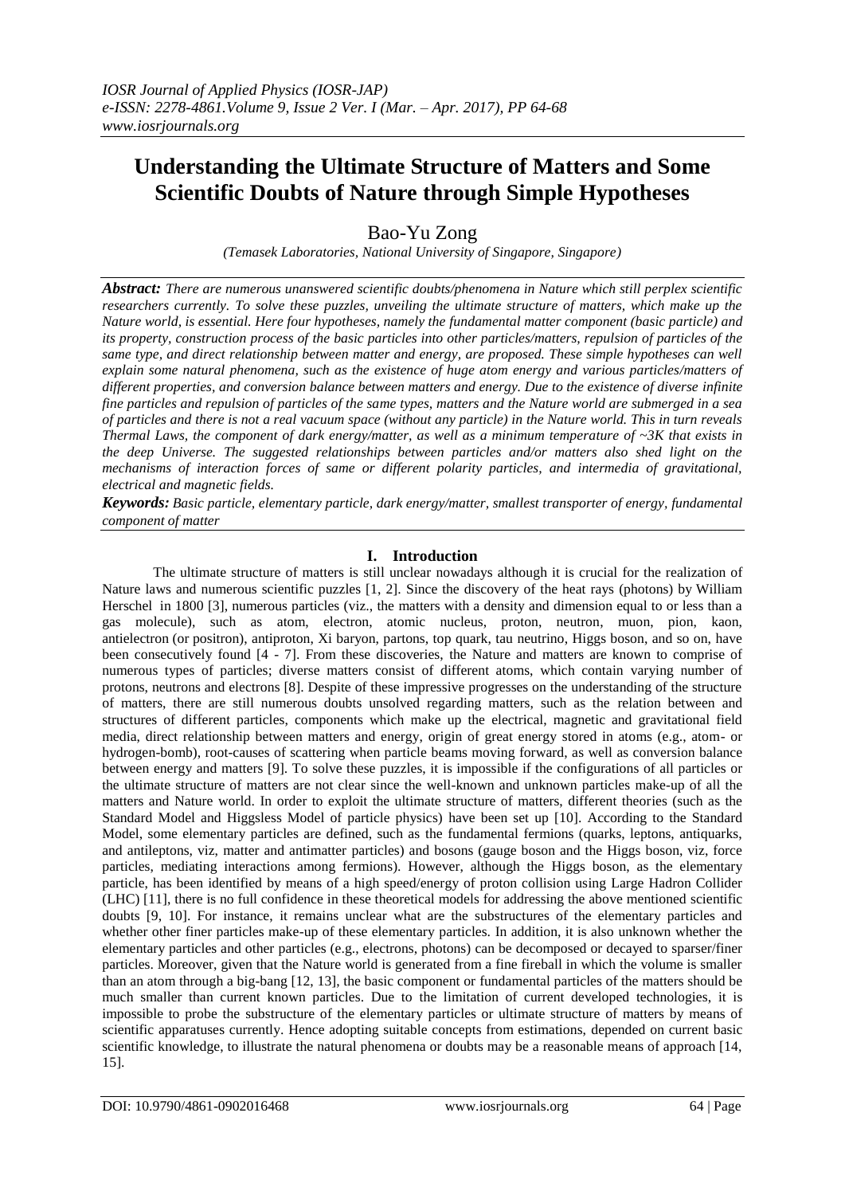# **Understanding the Ultimate Structure of Matters and Some Scientific Doubts of Nature through Simple Hypotheses**

Bao-Yu Zong

*(Temasek Laboratories, National University of Singapore, Singapore)*

*Abstract: There are numerous unanswered scientific doubts/phenomena in Nature which still perplex scientific researchers currently. To solve these puzzles, unveiling the ultimate structure of matters, which make up the Nature world, is essential. Here four hypotheses, namely the fundamental matter component (basic particle) and its property, construction process of the basic particles into other particles/matters, repulsion of particles of the same type, and direct relationship between matter and energy, are proposed. These simple hypotheses can well explain some natural phenomena, such as the existence of huge atom energy and various particles/matters of different properties, and conversion balance between matters and energy. Due to the existence of diverse infinite fine particles and repulsion of particles of the same types, matters and the Nature world are submerged in a sea of particles and there is not a real vacuum space (without any particle) in the Nature world. This in turn reveals Thermal Laws, the component of dark energy/matter, as well as a minimum temperature of ~3K that exists in the deep Universe. The suggested relationships between particles and/or matters also shed light on the mechanisms of interaction forces of same or different polarity particles, and intermedia of gravitational, electrical and magnetic fields.*

*Keywords: Basic particle, elementary particle, dark energy/matter, smallest transporter of energy, fundamental component of matter*

## **I. Introduction**

The ultimate structure of matters is still unclear nowadays although it is crucial for the realization of Nature laws and numerous scientific puzzles [1, 2]. Since the discovery of the heat rays (photons) by [William](https://en.wikipedia.org/wiki/William_Herschel)  [Herschel](https://en.wikipedia.org/wiki/William_Herschel) in 1800 [3], numerous particles (viz., the matters with a density and dimension equal to or less than a gas molecule), such as atom, electron, [atomic nucleus,](https://en.wikipedia.org/wiki/Atomic_nucleus) [proton,](https://en.wikipedia.org/wiki/Proton) [neutron,](https://en.wikipedia.org/wiki/Neutron) [muon,](https://en.wikipedia.org/wiki/Muon) [pion,](https://en.wikipedia.org/wiki/Pion) [kaon,](https://en.wikipedia.org/wiki/Kaon) [antielectron](https://en.wikipedia.org/wiki/Antielectron) (or positron), [antiproton,](https://en.wikipedia.org/wiki/Antiproton) [Xi baryon,](https://en.wikipedia.org/wiki/Xi_baryon) [partons,](https://en.wikipedia.org/wiki/Parton_(particle_physics)) [top quark,](https://en.wikipedia.org/wiki/Top_quark) [tau neutrino,](https://en.wikipedia.org/wiki/Tau_neutrino) [Higgs boson,](https://en.wikipedia.org/wiki/Higgs_boson) and so on, have been consecutively found [4 - 7]. From these discoveries, the Nature and matters are known to comprise of numerous types of particles; diverse matters consist of different atoms, which contain varying number of protons, neutrons and electrons [8]. Despite of these impressive progresses on the understanding of the structure of matters, there are still numerous doubts unsolved regarding matters, such as the relation between and structures of different particles, components which make up the electrical, magnetic and gravitational field media, direct relationship between matters and energy, origin of great energy stored in atoms (e.g., atom- or hydrogen-bomb), root-causes of scattering when particle beams moving forward, as well as conversion balance between energy and matters [9]. To solve these puzzles, it is impossible if the configurations of all particles or the ultimate structure of matters are not clear since the well-known and unknown particles make-up of all the matters and Nature world. In order to exploit the ultimate structure of matters, different theories (such as the Standard Model and Higgsless Model of particle physics) have been set up [10]. According to the Standard Model, some elementary particles are defined, such as the fundamental fermions (quarks, leptons, antiquarks, and antileptons, viz, matter and antimatter particles) and bosons (gauge boson and the Higgs boson, viz, force particles, mediating interactions among fermions). However, although the Higgs boson, as the elementary particle, has been identified by means of a high speed/energy of proton collision using Large Hadron Collider (LHC) [11], there is no full confidence in these theoretical models for addressing the above mentioned scientific doubts [9, 10]. For instance, it remains unclear what are the substructures of the elementary particles and whether other finer particles make-up of these elementary particles. In addition, it is also unknown whether the elementary particles and other particles (e.g., electrons, photons) can be decomposed or decayed to sparser/finer particles. Moreover, given that the Nature world is generated from a fine fireball in which the volume is smaller than an atom through a big-bang [12, 13], the basic component or fundamental particles of the matters should be much smaller than current known particles. Due to the limitation of current developed technologies, it is impossible to probe the substructure of the elementary particles or ultimate structure of matters by means of scientific apparatuses currently. Hence adopting suitable concepts from estimations, depended on current basic scientific knowledge, to illustrate the natural phenomena or doubts may be a reasonable means of approach [14, 15].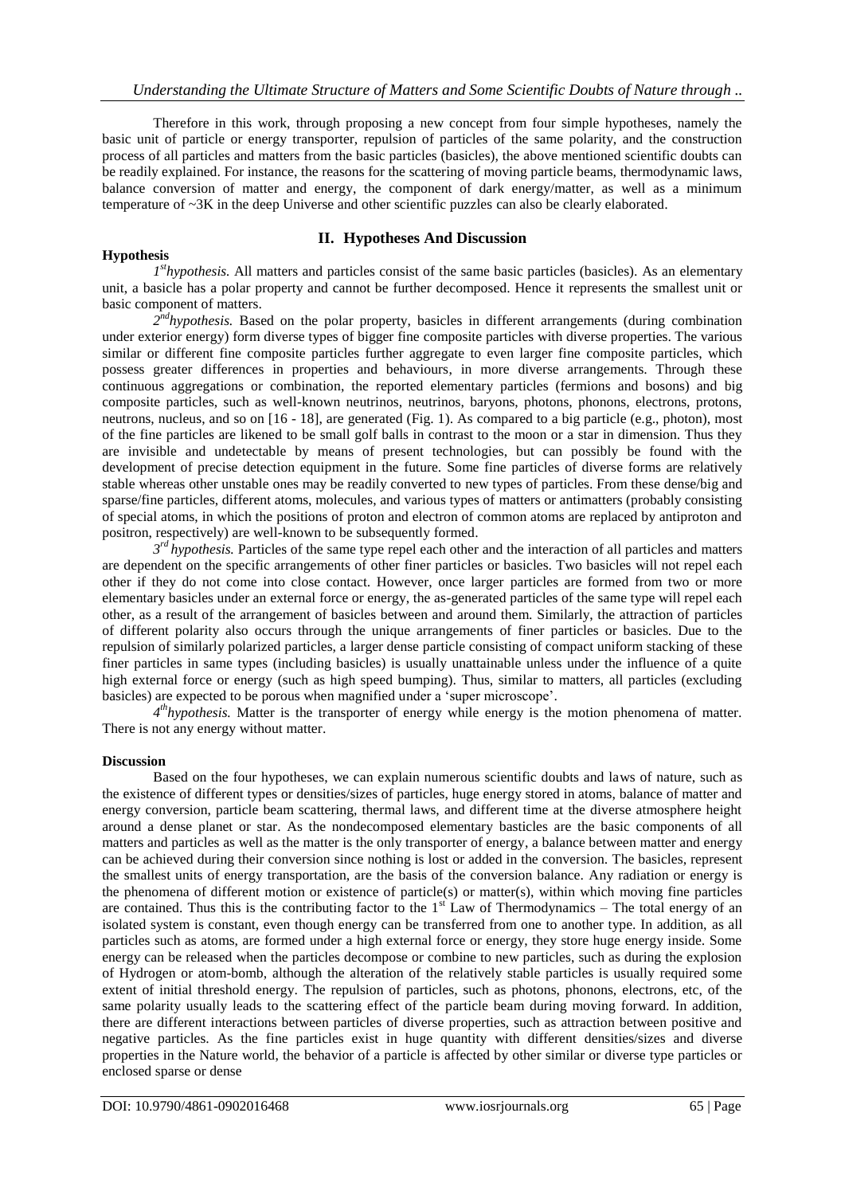Therefore in this work, through proposing a new concept from four simple hypotheses, namely the basic unit of particle or energy transporter, repulsion of particles of the same polarity, and the construction process of all particles and matters from the basic particles (basicles), the above mentioned scientific doubts can be readily explained. For instance, the reasons for the scattering of moving particle beams, thermodynamic laws, balance conversion of matter and energy, the component of dark energy/matter, as well as a minimum temperature of ~3K in the deep Universe and other scientific puzzles can also be clearly elaborated.

## **Hypothesis**

## **II. Hypotheses And Discussion**

*1<sup>st</sup>hypothesis*. All matters and particles consist of the same basic particles (basicles). As an elementary unit, a basicle has a polar property and cannot be further decomposed. Hence it represents the smallest unit or basic component of matters.

2<sup>nd</sup>hypothesis. Based on the polar property, basicles in different arrangements (during combination under exterior energy) form diverse types of bigger fine composite particles with diverse properties. The various similar or different fine composite particles further aggregate to even larger fine composite particles, which possess greater differences in properties and behaviours, in more diverse arrangements. Through these continuous aggregations or combination, the reported elementary particles (fermions and bosons) and big composite particles, such as well-known neutrinos, neutrinos, baryons, photons, phonons, electrons, protons, neutrons, nucleus, and so on [16 - 18], are generated (Fig. 1). As compared to a big particle (e.g., photon), most of the fine particles are likened to be small golf balls in contrast to the moon or a star in dimension. Thus they are invisible and undetectable by means of present technologies, but can possibly be found with the development of precise detection equipment in the future. Some fine particles of diverse forms are relatively stable whereas other unstable ones may be readily converted to new types of particles. From these dense/big and sparse/fine particles, different atoms, molecules, and various types of matters or antimatters (probably consisting of special atoms, in which the positions of proton and electron of common atoms are replaced by antiproton and positron, respectively) are well-known to be subsequently formed.

 $3<sup>rd</sup>$  *hypothesis*. Particles of the same type repel each other and the interaction of all particles and matters are dependent on the specific arrangements of other finer particles or basicles. Two basicles will not repel each other if they do not come into close contact. However, once larger particles are formed from two or more elementary basicles under an external force or energy, the as-generated particles of the same type will repel each other, as a result of the arrangement of basicles between and around them. Similarly, the attraction of particles of different polarity also occurs through the unique arrangements of finer particles or basicles. Due to the repulsion of similarly polarized particles, a larger dense particle consisting of compact uniform stacking of these finer particles in same types (including basicles) is usually unattainable unless under the influence of a quite high external force or energy (such as high speed bumping). Thus, similar to matters, all particles (excluding basicles) are expected to be porous when magnified under a 'super microscope'.

4<sup>th</sup>hypothesis. Matter is the transporter of energy while energy is the motion phenomena of matter. There is not any energy without matter.

#### **Discussion**

Based on the four hypotheses, we can explain numerous scientific doubts and laws of nature, such as the existence of different types or densities/sizes of particles, huge energy stored in atoms, balance of matter and energy conversion, particle beam scattering, thermal laws, and different time at the diverse atmosphere height around a dense planet or star. As the nondecomposed elementary basticles are the basic components of all matters and particles as well as the matter is the only transporter of energy, a balance between matter and energy can be achieved during their conversion since nothing is lost or added in the conversion. The basicles, represent the smallest units of energy transportation, are the basis of the conversion balance. Any radiation or energy is the phenomena of different motion or existence of particle(s) or matter(s), within which moving fine particles are contained. Thus this is the contributing factor to the  $1<sup>st</sup>$  Law of Thermodynamics – The total energy of an isolated system is constant, even though energy can be transferred from one to another type. In addition, as all particles such as atoms, are formed under a high external force or energy, they store huge energy inside. Some energy can be released when the particles decompose or combine to new particles, such as during the explosion of Hydrogen or atom-bomb, although the alteration of the relatively stable particles is usually required some extent of initial threshold energy. The repulsion of particles, such as photons, phonons, electrons, etc, of the same polarity usually leads to the scattering effect of the particle beam during moving forward. In addition, there are different interactions between particles of diverse properties, such as attraction between positive and negative particles. As the fine particles exist in huge quantity with different densities/sizes and diverse properties in the Nature world, the behavior of a particle is affected by other similar or diverse type particles or enclosed sparse or dense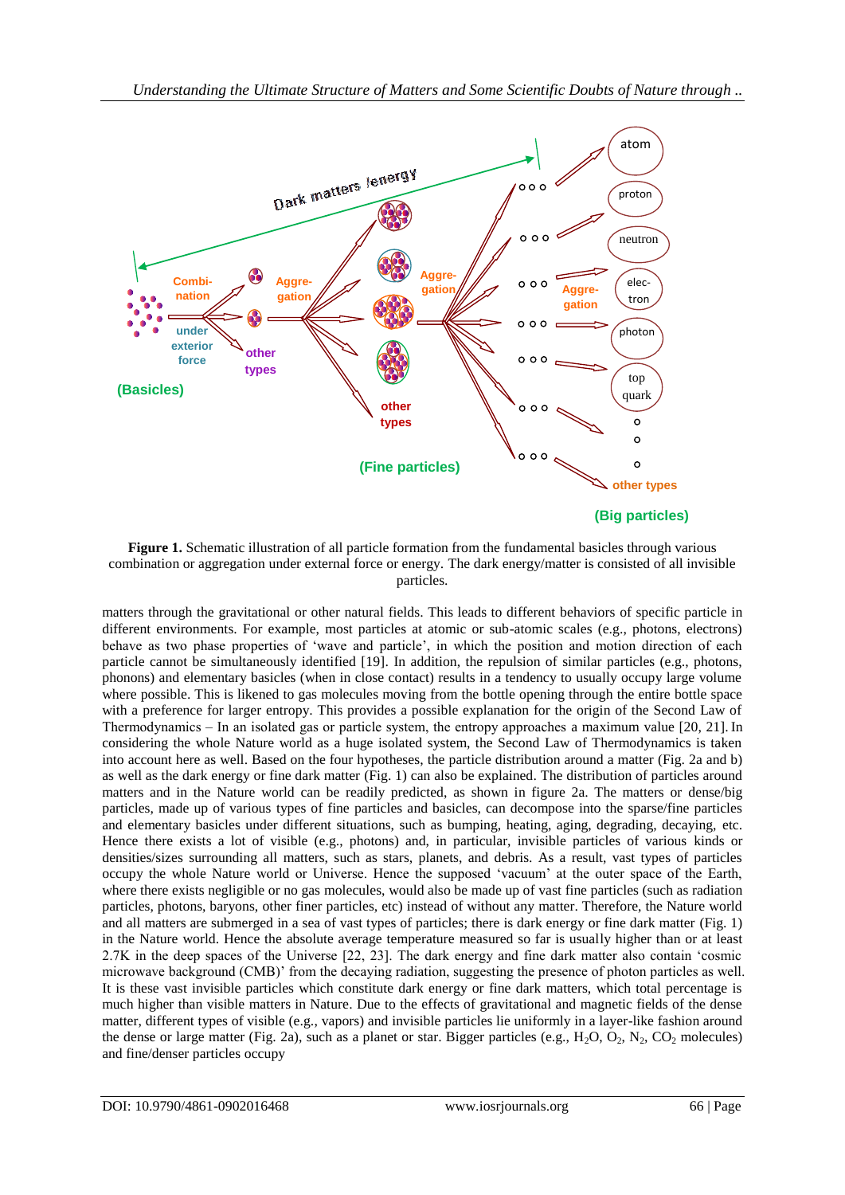

**Figure 1.** Schematic illustration of all particle formation from the fundamental basicles through various combination or aggregation under external force or energy. The dark energy/matter is consisted of all invisible particles.

matters through the gravitational or other natural fields. This leads to different behaviors of specific particle in different environments. For example, most particles at atomic or sub-atomic scales (e.g., photons, electrons) behave as two phase properties of 'wave and particle', in which the position and motion direction of each particle cannot be simultaneously identified [19]. In addition, the repulsion of similar particles (e.g., photons, phonons) and elementary basicles (when in close contact) results in a tendency to usually occupy large volume where possible. This is likened to gas molecules moving from the bottle opening through the entire bottle space with a preference for larger entropy. This provides a possible explanation for the origin of the Second Law of Thermodynamics ‒ In an isolated gas or particle system, the entropy approaches a maximum value [20, 21]. In considering the whole Nature world as a huge isolated system, the Second Law of Thermodynamics is taken into account here as well. Based on the four hypotheses, the particle distribution around a matter (Fig. 2a and b) as well as the dark energy or fine dark matter (Fig. 1) can also be explained. The distribution of particles around matters and in the Nature world can be readily predicted, as shown in figure 2a. The matters or dense/big particles, made up of various types of fine particles and basicles, can decompose into the sparse/fine particles and elementary basicles under different situations, such as bumping, heating, aging, degrading, decaying, etc. Hence there exists a lot of visible (e.g., photons) and, in particular, invisible particles of various kinds or densities/sizes surrounding all matters, such as stars, planets, and debris. As a result, vast types of particles occupy the whole Nature world or Universe. Hence the supposed 'vacuum' at the outer space of the Earth, where there exists negligible or no gas molecules, would also be made up of vast fine particles (such as radiation particles, photons, baryons, other finer particles, etc) instead of without any matter. Therefore, the Nature world and all matters are submerged in a sea of vast types of particles; there is dark energy or fine dark matter (Fig. 1) in the Nature world. Hence the absolute average temperature measured so far is usually higher than or at least 2.7K in the deep spaces of the Universe [22, 23]. The dark energy and fine dark matter also contain 'cosmic microwave background (CMB)' from the decaying radiation, suggesting the presence of photon particles as well. It is these vast invisible particles which constitute dark energy or fine dark matters, which total percentage is much higher than visible matters in Nature. Due to the effects of gravitational and magnetic fields of the dense matter, different types of visible (e.g., vapors) and invisible particles lie uniformly in a layer-like fashion around the dense or large matter (Fig. 2a), such as a planet or star. Bigger particles (e.g., H<sub>2</sub>O, O<sub>2</sub>, N<sub>2</sub>, CO<sub>2</sub> molecules) and fine/denser particles occupy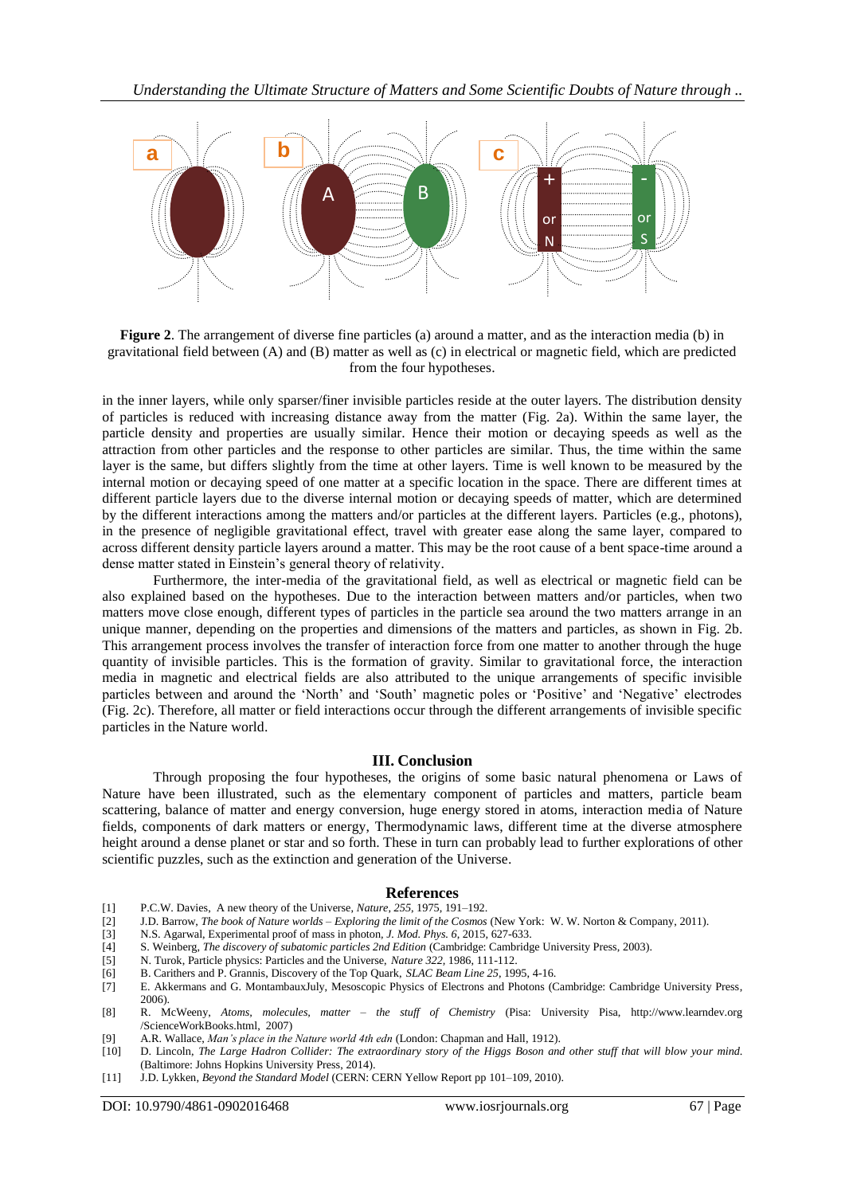

**Figure 2.** The arrangement of diverse fine particles (a) around a matter, and as the interaction media (b) in gravitational field between (A) and (B) matter as well as (c) in electrical or magnetic field, which are predicted from the four hypotheses.

in the inner layers, while only sparser/finer invisible particles reside at the outer layers. The distribution density of particles is reduced with increasing distance away from the matter (Fig. 2a). Within the same layer, the particle density and properties are usually similar. Hence their motion or decaying speeds as well as the attraction from other particles and the response to other particles are similar. Thus, the time within the same layer is the same, but differs slightly from the time at other layers. Time is well known to be measured by the internal motion or decaying speed of one matter at a specific location in the space. There are different times at different particle layers due to the diverse internal motion or decaying speeds of matter, which are determined by the different interactions among the matters and/or particles at the different layers. Particles (e.g., photons), in the presence of negligible gravitational effect, travel with greater ease along the same layer, compared to across different density particle layers around a matter. This may be the root cause of a bent space-time around a dense matter stated in Einstein's general theory of relativity.

Furthermore, the inter-media of the gravitational field, as well as electrical or magnetic field can be also explained based on the hypotheses. Due to the interaction between matters and/or particles, when two matters move close enough, different types of particles in the particle sea around the two matters arrange in an unique manner, depending on the properties and dimensions of the matters and particles, as shown in Fig. 2b. This arrangement process involves the transfer of interaction force from one matter to another through the huge quantity of invisible particles. This is the formation of gravity. Similar to gravitational force, the interaction media in magnetic and electrical fields are also attributed to the unique arrangements of specific invisible particles between and around the 'North' and 'South' magnetic poles or 'Positive' and 'Negative' electrodes (Fig. 2c). Therefore, all matter or field interactions occur through the different arrangements of invisible specific particles in the Nature world.

#### **III. Conclusion**

Through proposing the four hypotheses, the origins of some basic natural phenomena or Laws of Nature have been illustrated, such as the elementary component of particles and matters, particle beam scattering, balance of matter and energy conversion, huge energy stored in atoms, interaction media of Nature fields, components of dark matters or energy, Thermodynamic laws, different time at the diverse atmosphere height around a dense planet or star and so forth. These in turn can probably lead to further explorations of other scientific puzzles, such as the extinction and generation of the Universe.

#### **References**

- [1] P.C.W. Davies, [A new theory of the Universe,](http://www.nature.com.libproxy1.nus.edu.sg/nature/journal/v255/n5505/pdf/255191a0.pdf) *[Nature](http://www.nature.com.libproxy1.nus.edu.sg/nature)*, *255*, 1975, 191–192.
- [2] J.D. Barrow, *The book of Nature worlds – Exploring the limit of the Cosmos* (New York: W. W. Norton & Company, 2011).
- [3] N.S. Agarwal, Experimental proof of mass in photon*, J. Mod. Phys. 6*, 2015, 627-633.
- [4] [S.](http://www.cambridge.org/academic/authors/204994) Weinberg, *The discovery of subatomic particles 2nd Edition* (Cambridge: Cambridge University Press, 2003).
- [5] N. Turok, [Particle physics: Particles and the Universe,](http://www.nature.com.libproxy1.nus.edu.sg/nature/journal/v322/n6075/pdf/322111a0.pdf) *[Nature](http://www.nature.com.libproxy1.nus.edu.sg/nature) 322,* 1986, 111-112.
- [6] B. Carithers and P. Grannis, [Discovery of the Top Quark,](http://www.slac.stanford.edu/pubs/beamline/25/3/25-3-carithers.pdf) *[SLAC](https://en.wikipedia.org/wiki/SLAC) [Beam Line](https://en.wikipedia.org/w/index.php?title=Beam_Line_(journal)&action=edit&redlink=1) 25*, 1995, 4-16.
- [7] E. Akkermans and G. MontambauxJuly, Mesoscopic Physics of Electrons and Photons (Cambridge: Cambridge University Press, 2006).
- [8] R. McWeeny, *Atoms, molecules, matter – the stuff of Chemistry* (Pisa: University Pisa, [http://www.learndev.org](http://www.learndev.org/ScienceWorkBooks.html) [/ScienceWorkBooks.html,](http://www.learndev.org/ScienceWorkBooks.html) 2007)
- [9] A.R. Wallace, *Man's place in the Nature world 4th edn* (London: Chapman and Hall, 1912).
- [10] D. Lincoln, *The Large Hadron Collider: The extraordinary story of the Higgs Boson and other stuff that will blow your mind*. (Baltimore: Johns Hopkins University Press, 2014).
- [11] J.D. Lykken, *Beyond the Standard Model* [\(CERN:](https://en.wikipedia.org/wiki/CERN) CERN Yellow Report pp 101–109, 2010).